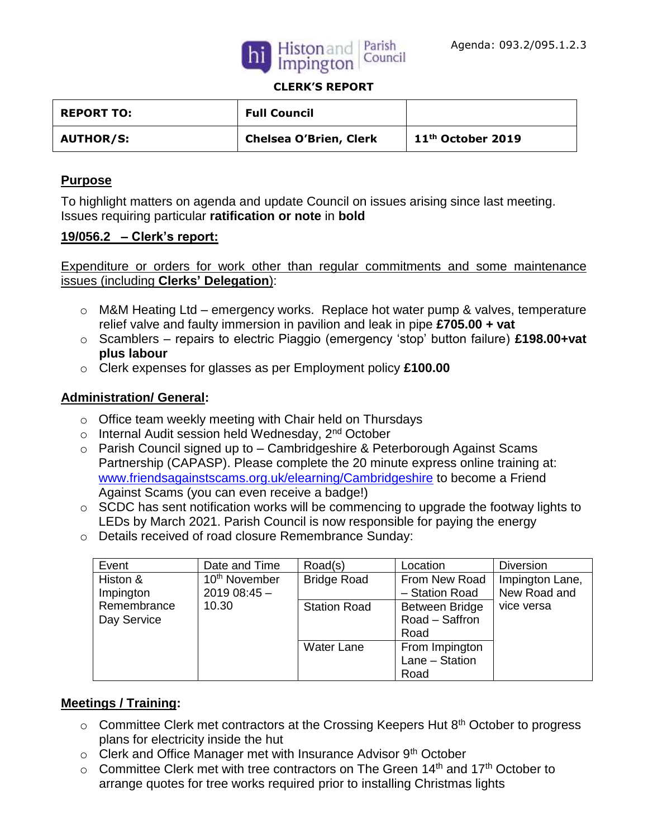



#### **CLERK'S REPORT**

| <b>REPORT TO:</b> | <b>Full Council</b>           |                               |
|-------------------|-------------------------------|-------------------------------|
| <b>AUTHOR/S:</b>  | <b>Chelsea O'Brien, Clerk</b> | 11 <sup>th</sup> October 2019 |

### **Purpose**

To highlight matters on agenda and update Council on issues arising since last meeting. Issues requiring particular **ratification or note** in **bold**

#### **19/056.2 – Clerk's report:**

Expenditure or orders for work other than regular commitments and some maintenance issues (including **Clerks' Delegation**):

- o M&M Heating Ltd emergency works. Replace hot water pump & valves, temperature relief valve and faulty immersion in pavilion and leak in pipe **£705.00 + vat**
- o Scamblers repairs to electric Piaggio (emergency 'stop' button failure) **£198.00+vat plus labour**
- o Clerk expenses for glasses as per Employment policy **£100.00**

### **Administration/ General:**

- o Office team weekly meeting with Chair held on Thursdays
- $\circ$  Internal Audit session held Wednesday, 2<sup>nd</sup> October
- o Parish Council signed up to Cambridgeshire & Peterborough Against Scams Partnership (CAPASP). Please complete the 20 minute express online training at: [www.friendsagainstscams.org.uk/elearning/Cambridgeshire](http://www.friendsagainstscams.org.uk/elearning/Cambridgeshire) to become a Friend Against Scams (you can even receive a badge!)
- o SCDC has sent notification works will be commencing to upgrade the footway lights to LEDs by March 2021. Parish Council is now responsible for paying the energy
- o Details received of road closure Remembrance Sunday:

| Event       | Date and Time             | Road(s)             | Location       | <b>Diversion</b> |
|-------------|---------------------------|---------------------|----------------|------------------|
| Histon &    | 10 <sup>th</sup> November | <b>Bridge Road</b>  | From New Road  | Impington Lane,  |
| Impington   | $201908:45-$              |                     | - Station Road | New Road and     |
| Remembrance | 10.30                     | <b>Station Road</b> | Between Bridge | vice versa       |
| Day Service |                           |                     | Road - Saffron |                  |
|             |                           |                     | Road           |                  |
|             |                           | <b>Water Lane</b>   | From Impington |                  |
|             |                           |                     | Lane - Station |                  |
|             |                           |                     | Road           |                  |

## **Meetings / Training:**

- $\circ$  Committee Clerk met contractors at the Crossing Keepers Hut 8<sup>th</sup> October to progress plans for electricity inside the hut
- $\circ$  Clerk and Office Manager met with Insurance Advisor 9<sup>th</sup> October
- $\circ$  Committee Clerk met with tree contractors on The Green 14<sup>th</sup> and 17<sup>th</sup> October to arrange quotes for tree works required prior to installing Christmas lights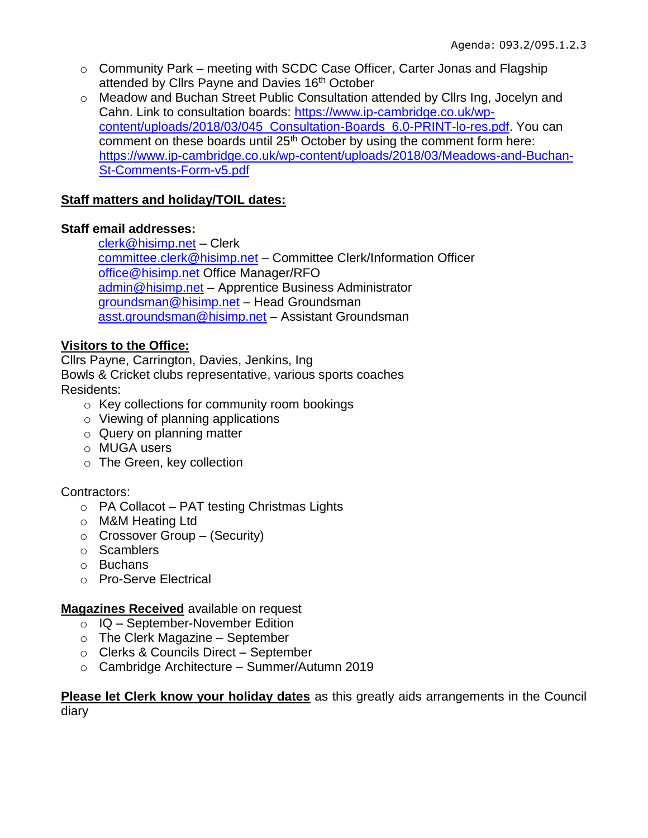- o Community Park meeting with SCDC Case Officer, Carter Jonas and Flagship attended by Cllrs Payne and Davies 16th October
- o Meadow and Buchan Street Public Consultation attended by Cllrs Ing, Jocelyn and Cahn. Link to consultation boards: [https://www.ip-cambridge.co.uk/wp](https://www.ip-cambridge.co.uk/wp-content/uploads/2018/03/045_Consultation-Boards_6.0-PRINT-lo-res.pdf)[content/uploads/2018/03/045\\_Consultation-Boards\\_6.0-PRINT-lo-res.pdf.](https://www.ip-cambridge.co.uk/wp-content/uploads/2018/03/045_Consultation-Boards_6.0-PRINT-lo-res.pdf) You can comment on these boards until 25<sup>th</sup> October by using the comment form here: [https://www.ip-cambridge.co.uk/wp-content/uploads/2018/03/Meadows-and-Buchan-](https://www.ip-cambridge.co.uk/wp-content/uploads/2018/03/Meadows-and-Buchan-St-Comments-Form-v5.pdf)[St-Comments-Form-v5.pdf](https://www.ip-cambridge.co.uk/wp-content/uploads/2018/03/Meadows-and-Buchan-St-Comments-Form-v5.pdf)

# **Staff matters and holiday/TOIL dates:**

## **Staff email addresses:**

[clerk@hisimp.net](mailto:clerk@hisimp.net) – Clerk [committee.clerk@hisimp.net](mailto:committee.clerk@hisimp.net) – Committee Clerk/Information Officer [office@hisimp.net](mailto:office@hisimp.net) Office Manager/RFO [admin@hisimp.net](mailto:admin@hisimp.net) – Apprentice Business Administrator [groundsman@hisimp.net](mailto:groundsman@hisimp.net) – Head Groundsman [asst.groundsman@hisimp.net](mailto:asst.groundsman@hisimp.net) – Assistant Groundsman

# **Visitors to the Office:**

Cllrs Payne, Carrington, Davies, Jenkins, Ing Bowls & Cricket clubs representative, various sports coaches Residents:

- o Key collections for community room bookings
- o Viewing of planning applications
- o Query on planning matter
- o MUGA users
- o The Green, key collection

## Contractors:

- o PA Collacot PAT testing Christmas Lights
- o M&M Heating Ltd
- $\circ$  Crossover Group (Security)
- o Scamblers
- o Buchans
- o Pro-Serve Electrical

## **Magazines Received** available on request

- o IQ September-November Edition
- $\circ$  The Clerk Magazine September
- o Clerks & Councils Direct September
- o Cambridge Architecture Summer/Autumn 2019

### **Please let Clerk know your holiday dates** as this greatly aids arrangements in the Council diary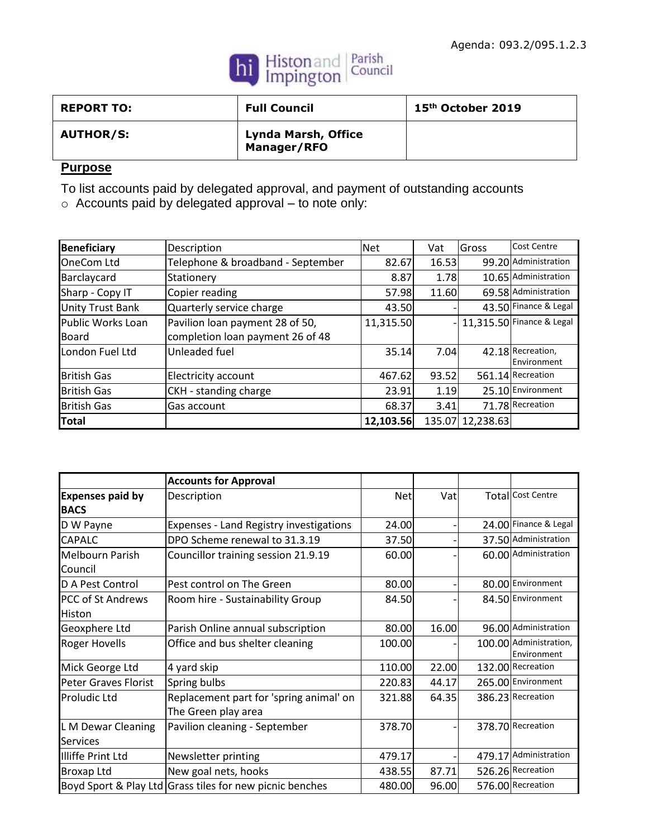

| <b>REPORT TO:</b> | <b>Full Council</b>                | 15 <sup>th</sup> October 2019 |
|-------------------|------------------------------------|-------------------------------|
| <b>AUTHOR/S:</b>  | Lynda Marsh, Office<br>Manager/RFO |                               |

# **Purpose**

To list accounts paid by delegated approval, and payment of outstanding accounts

o Accounts paid by delegated approval – to note only:

| <b>Beneficiary</b>      | Description                       | <b>Net</b> | Vat   | Gross            | <b>Cost Centre</b>               |
|-------------------------|-----------------------------------|------------|-------|------------------|----------------------------------|
| <b>OneCom Ltd</b>       | Telephone & broadband - September | 82.67      | 16.53 |                  | 99.20 Administration             |
| Barclaycard             | Stationery                        | 8.87       | 1.78  |                  | 10.65 Administration             |
| Sharp - Copy IT         | Copier reading                    | 57.98      | 11.60 |                  | 69.58 Administration             |
| <b>Unity Trust Bank</b> | Quarterly service charge          | 43.50      |       |                  | 43.50 Finance & Legal            |
| Public Works Loan       | Pavilion loan payment 28 of 50,   | 11,315.50  |       |                  | $11,315.50$ Finance & Legal      |
| Board                   | completion loan payment 26 of 48  |            |       |                  |                                  |
| London Fuel Ltd         | Unleaded fuel                     | 35.14      | 7.04  |                  | 42.18 Recreation,<br>Environment |
| <b>British Gas</b>      | Electricity account               | 467.62     | 93.52 |                  | 561.14 Recreation                |
| <b>British Gas</b>      | CKH - standing charge             | 23.91      | 1.19  |                  | 25.10 Environment                |
| <b>British Gas</b>      | Gas account                       | 68.37      | 3.41  |                  | 71.78 Recreation                 |
| Total                   |                                   | 12,103.56  |       | 135.07 12,238.63 |                                  |

|                                        | <b>Accounts for Approval</b>                                   |        |       |                                       |
|----------------------------------------|----------------------------------------------------------------|--------|-------|---------------------------------------|
| <b>Expenses paid by</b><br><b>BACS</b> | Description                                                    | Netl   | Vatl  | <b>Total Cost Centre</b>              |
| D W Payne                              | Expenses - Land Registry investigations                        | 24.00  |       | 24.00 Finance & Legal                 |
| <b>CAPALC</b>                          | DPO Scheme renewal to 31.3.19                                  | 37.50  |       | 37.50 Administration                  |
| <b>Melbourn Parish</b><br>Council      | Councillor training session 21.9.19                            | 60.00  |       | 60.00 Administration                  |
| D A Pest Control                       | Pest control on The Green                                      | 80.00  |       | 80.00 Environment                     |
| <b>PCC of St Andrews</b><br>Histon     | Room hire - Sustainability Group                               | 84.50  |       | 84.50 Environment                     |
| Geoxphere Ltd                          | Parish Online annual subscription                              | 80.00  | 16.00 | 96.00 Administration                  |
| <b>Roger Hovells</b>                   | Office and bus shelter cleaning                                | 100.00 |       | 100.00 Administration,<br>Environment |
| Mick George Ltd                        | 4 yard skip                                                    | 110.00 | 22.00 | 132.00 Recreation                     |
| <b>Peter Graves Florist</b>            | Spring bulbs                                                   | 220.83 | 44.17 | 265.00 Environment                    |
| lProludic Ltd                          | Replacement part for 'spring animal' on<br>The Green play area | 321.88 | 64.35 | 386.23 Recreation                     |
| L M Dewar Cleaning<br><b>Services</b>  | Pavilion cleaning - September                                  | 378.70 |       | 378.70 Recreation                     |
| Illiffe Print Ltd                      | Newsletter printing                                            | 479.17 |       | 479.17 Administration                 |
| <b>Broxap Ltd</b>                      | New goal nets, hooks                                           | 438.55 | 87.71 | 526.26 Recreation                     |
|                                        | Boyd Sport & Play Ltd Grass tiles for new picnic benches       | 480.00 | 96.00 | 576.00 Recreation                     |